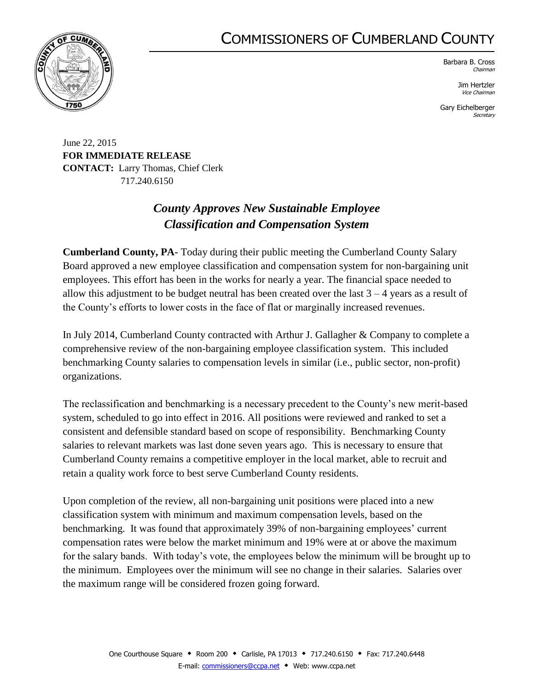## COMMISSIONERS OF CUMBERLAND COUNTY



Barbara B. Cross Chairman

> Jim Hertzler Vice Chairman

Gary Eichelberger **Secretary** 

June 22, 2015 **FOR IMMEDIATE RELEASE CONTACT:** Larry Thomas, Chief Clerk 717.240.6150

## *County Approves New Sustainable Employee Classification and Compensation System*

**Cumberland County, PA-** Today during their public meeting the Cumberland County Salary Board approved a new employee classification and compensation system for non-bargaining unit employees. This effort has been in the works for nearly a year. The financial space needed to allow this adjustment to be budget neutral has been created over the last  $3 - 4$  years as a result of the County's efforts to lower costs in the face of flat or marginally increased revenues.

In July 2014, Cumberland County contracted with Arthur J. Gallagher & Company to complete a comprehensive review of the non-bargaining employee classification system. This included benchmarking County salaries to compensation levels in similar (i.e., public sector, non-profit) organizations.

The reclassification and benchmarking is a necessary precedent to the County's new merit-based system, scheduled to go into effect in 2016. All positions were reviewed and ranked to set a consistent and defensible standard based on scope of responsibility. Benchmarking County salaries to relevant markets was last done seven years ago. This is necessary to ensure that Cumberland County remains a competitive employer in the local market, able to recruit and retain a quality work force to best serve Cumberland County residents.

Upon completion of the review, all non-bargaining unit positions were placed into a new classification system with minimum and maximum compensation levels, based on the benchmarking. It was found that approximately 39% of non-bargaining employees' current compensation rates were below the market minimum and 19% were at or above the maximum for the salary bands. With today's vote, the employees below the minimum will be brought up to the minimum. Employees over the minimum will see no change in their salaries. Salaries over the maximum range will be considered frozen going forward.